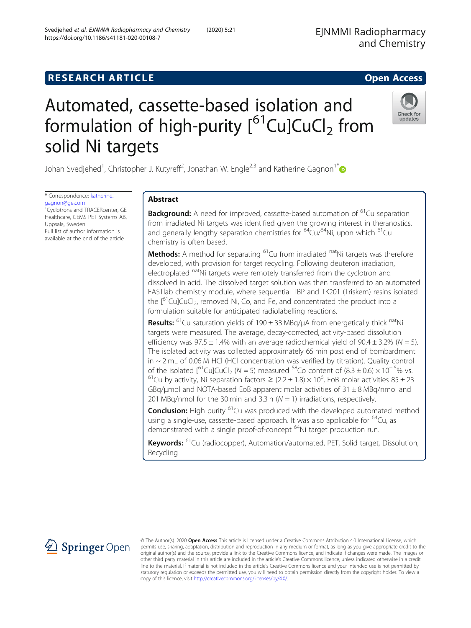# **RESEARCH ARTICLE Example 2014 12:30 The SEAR CHI ACCESS**

# Automated, cassette-based isolation and formulation of high-purity  $[61$ Cu]CuCl<sub>2</sub> from solid Ni targets

Johan Svedjehed<sup>1</sup>, Christopher J. Kutyreff<sup>2</sup>, Jonathan W. Engle<sup>2,3</sup> and Katherine Gagnon<sup>1\*</sup>

\* Correspondence: [katherine.](mailto:katherine.gagnon@ge.com) [gagnon@ge.com](mailto:katherine.gagnon@ge.com) 1 Cyclotrons and TRACERcenter, GE Healthcare, GEMS PET Systems AB, Uppsala, Sweden Full list of author information is available at the end of the article

# Abstract

**Background:** A need for improved, cassette-based automation of <sup>61</sup>Cu separation from irradiated Ni targets was identified given the growing interest in theranostics, and generally lengthy separation chemistries for  $64$ Cu/ $64$ Ni, upon which  $61$ Cu chemistry is often based.

**Methods:** A method for separating  ${}^{61}$ Cu from irradiated  ${}^{nat}$ Ni targets was therefore developed, with provision for target recycling. Following deuteron irradiation, electroplated natNi targets were remotely transferred from the cyclotron and dissolved in acid. The dissolved target solution was then transferred to an automated FASTlab chemistry module, where sequential TBP and TK201 (Triskem) resins isolated the  $[6]$ Cu]CuCl<sub>2</sub>, removed Ni, Co, and Fe, and concentrated the product into a formulation suitable for anticipated radiolabelling reactions.

**Results:** <sup>61</sup>Cu saturation yields of 190  $\pm$  33 MBg/ $\mu$ A from energetically thick <sup>nat</sup>Ni targets were measured. The average, decay-corrected, activity-based dissolution efficiency was  $97.5 \pm 1.4\%$  with an average radiochemical yield of  $90.4 \pm 3.2\%$  (N = 5). The isolated activity was collected approximately 65 min post end of bombardment in ~ 2 mL of 0.06 M HCl (HCl concentration was verified by titration). Quality control of the isolated  $\int_{0}^{61}$ Cu]CuCl<sub>2</sub> (N = 5) measured <sup>58</sup>Co content of (8.3 ± 0.6) × 10<sup>-5</sup>% vs. of the isolated [<sup>61</sup>Cu]CuCl<sub>2</sub> (N = 5) measured <sup>58</sup>Co content of (8.3 ± 0.6) × 10<sup>-5</sup>% vs.<br><sup>61</sup>Cu by activity, Ni separation factors ≥ (2.2 ± 1.8) × 10<sup>6</sup>, EoB molar activities 85 ± 23 GBq/umol and NOTA-based EoB apparent molar activities of  $31 \pm 8$  MBq/nmol and 201 MBq/nmol for the 30 min and 3.3 h ( $N = 1$ ) irradiations, respectively.

**Conclusion:** High purity <sup>61</sup>Cu was produced with the developed automated method using a single-use, cassette-based approach. It was also applicable for <sup>64</sup>Cu, as demonstrated with a single proof-of-concept <sup>64</sup>Ni target production run.

Keywords: <sup>61</sup>Cu (radiocopper), Automation/automated, PET, Solid target, Dissolution, Recycling

© The Author(s). 2020 Open Access This article is licensed under a Creative Commons Attribution 4.0 International License, which permits use, sharing, adaptation, distribution and reproduction in any medium or format, as long as you give appropriate credit to the original author(s) and the source, provide a link to the Creative Commons licence, and indicate if changes were made. The images or other third party material in this article are included in the article's Creative Commons licence, unless indicated otherwise in a credit line to the material. If material is not included in the article's Creative Commons licence and your intended use is not permitted by statutory regulation or exceeds the permitted use, you will need to obtain permission directly from the copyright holder. To view a copy of this licence, visit <http://creativecommons.org/licenses/by/4.0/>.





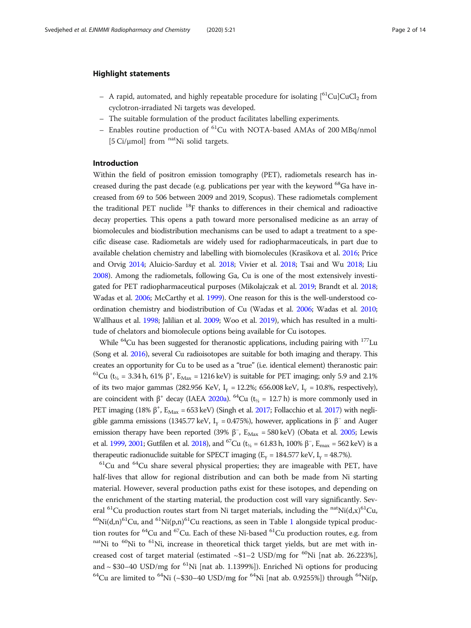#### Highlight statements

- A rapid, automated, and highly repeatable procedure for isolating  $\int_{0}^{61}Cu|CuCl_{2}$  from cyclotron-irradiated Ni targets was developed.
- The suitable formulation of the product facilitates labelling experiments.
- Enables routine production of  ${}^{61}$ Cu with NOTA-based AMAs of 200 MBq/nmol [5 Ci/ $\mu$ mol] from <sup>nat</sup>Ni solid targets.

# Introduction

Within the field of positron emission tomography (PET), radiometals research has increased during the past decade (e.g. publications per year with the keyword <sup>68</sup>Ga have increased from 69 to 506 between 2009 and 2019, Scopus). These radiometals complement the traditional PET nuclide  $^{18}F$  thanks to differences in their chemical and radioactive decay properties. This opens a path toward more personalised medicine as an array of biomolecules and biodistribution mechanisms can be used to adapt a treatment to a specific disease case. Radiometals are widely used for radiopharmaceuticals, in part due to available chelation chemistry and labelling with biomolecules (Krasikova et al. [2016](#page-13-0); Price and Orvig [2014](#page-13-0); Aluicio-Sarduy et al. [2018](#page-12-0); Vivier et al. [2018;](#page-13-0) Tsai and Wu [2018](#page-13-0); Liu [2008\)](#page-13-0). Among the radiometals, following Ga, Cu is one of the most extensively investigated for PET radiopharmaceutical purposes (Mikolajczak et al. [2019;](#page-13-0) Brandt et al. [2018](#page-12-0); Wadas et al. [2006](#page-13-0); McCarthy et al. [1999\)](#page-13-0). One reason for this is the well-understood coordination chemistry and biodistribution of Cu (Wadas et al. [2006](#page-13-0); Wadas et al. [2010](#page-13-0); Wallhaus et al. [1998](#page-13-0); Jalilian et al. [2009](#page-13-0); Woo et al. [2019](#page-13-0)), which has resulted in a multitude of chelators and biomolecule options being available for Cu isotopes.

While  $^{64}$ Cu has been suggested for theranostic applications, including pairing with  $^{177}$ Lu (Song et al. [2016\)](#page-13-0), several Cu radioisotopes are suitable for both imaging and therapy. This creates an opportunity for Cu to be used as a "true" (i.e. identical element) theranostic pair: <sup>61</sup>Cu (t<sub>1/2</sub> = 3.34 h, 61% β<sup>+</sup>, E<sub>Max</sub> = 1216 keV) is suitable for PET imaging; only 5.9 and 2.1% of its two major gammas (282.956 KeV,  $I_v = 12.2\%$ ; 656.008 keV,  $I_v = 10.8\%$ , respectively), are coincident with  $\beta^+$  decay (IAEA [2020a\)](#page-12-0). <sup>64</sup>Cu (t<sub>1/2</sub> = 12.7 h) is more commonly used in PET imaging (18%  $\beta^+$ ,  $E_{\text{Max}}$  = 653 keV) (Singh et al. [2017;](#page-13-0) Follacchio et al. [2017\)](#page-12-0) with negligible gamma emissions (1345.77 keV, I<sub>γ</sub> = 0.475%), however, applications in  $\beta^-$  and Auger emission therapy have been reported (39%  $\beta^-$ ,  $E_{\text{Max}} = 580 \text{ keV}$ ) (Obata et al. [2005](#page-13-0); Lewis et al. [1999,](#page-13-0) [2001](#page-13-0); Gutfilen et al. [2018\)](#page-12-0), and <sup>67</sup>Cu (t<sub>1/2</sub> = 61.83 h, 100% β<sup>-</sup>, E<sub>max</sub> = 562 keV) is a therapeutic radionuclide suitable for SPECT imaging ( $E_v = 184.577$  keV,  $I_v = 48.7\%$ ).

 $61$ Cu and  $64$ Cu share several physical properties; they are imageable with PET, have half-lives that allow for regional distribution and can both be made from Ni starting material. However, several production paths exist for these isotopes, and depending on the enrichment of the starting material, the production cost will vary significantly. Several <sup>61</sup>Cu production routes start from Ni target materials, including the <sup>nat</sup>Ni(d,x)<sup>61</sup>Cu,  $^{60}$ Ni(d,n)<sup>6[1](#page-2-0)</sup>Cu, and <sup>61</sup>Ni(p,n)<sup>61</sup>Cu reactions, as seen in Table 1 alongside typical production routes for  ${}^{64}$ Cu and  ${}^{67}$ Cu. Each of these Ni-based  ${}^{61}$ Cu production routes, e.g. from  $n$ <sup>nat</sup>Ni to  ${}^{60}$ Ni to  ${}^{61}$ Ni, increase in theoretical thick target yields, but are met with increased cost of target material (estimated  $~\sim$ \$1–2 USD/mg for  $^{60}\rm{Ni}$  [nat ab. 26.223%], and  $\sim$  \$30–40 USD/mg for <sup>61</sup>Ni [nat ab. 1.1399%]). Enriched Ni options for producing <sup>64</sup>Cu are limited to <sup>64</sup>Ni (~\$30–40 USD/mg for <sup>64</sup>Ni [nat ab. 0.9255%]) through <sup>64</sup>Ni(p,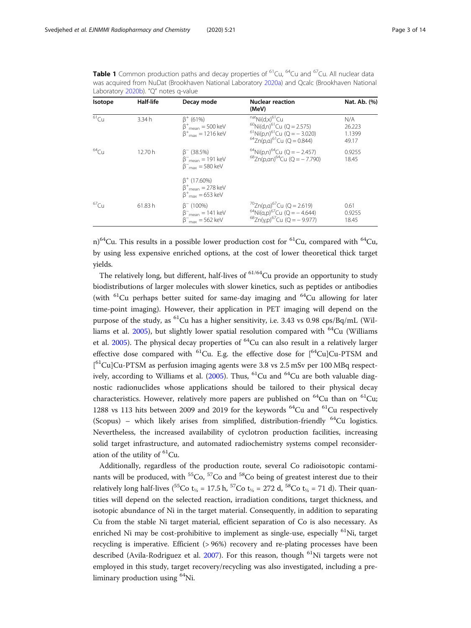| Isotope          | Half-life | Decay mode                                                                                           | <b>Nuclear reaction</b><br>(MeV)                                                                                                                                              | Nat. Ab. (%)                     |
|------------------|-----------|------------------------------------------------------------------------------------------------------|-------------------------------------------------------------------------------------------------------------------------------------------------------------------------------|----------------------------------|
| $61$ Cu          | 3.34 h    | $\beta^+$ (61%)<br>$\beta^+_{\text{mean}} = 500 \text{ keV}$<br>$\beta^{+}_{max} = 1216 \text{ keV}$ | $^{nat}Ni(d.x)^{61}Cu$<br>$^{60}$ Ni(d,n) <sup>61</sup> Cu (Q = 2.575)<br><sup>61</sup> Ni(p,n) <sup>61</sup> Cu (Q = -3.020)<br>$^{64}$ Zn(p,a) <sup>61</sup> Cu (Q = 0.844) | N/A<br>26.223<br>1.1399<br>49.17 |
| $64$ Cu          | 12.70 h   | $\beta^-$ (38.5%)<br>$\beta$ <sub>mean</sub> = 191 keV<br>$\beta^{-}_{\rm max} = 580$ keV            | $^{64}$ Ni(p,n) <sup>64</sup> Cu (Q = - 2.457)<br>$^{68}$ 7n(p.an) <sup>64</sup> Cu (Q = - 7.790)                                                                             | 0.9255<br>18.45                  |
|                  |           | $\beta^+$ (17.60%)<br>$\beta^+$ <sub>mean</sub> = 278 keV<br>$\beta^{+}_{max} = 653$ keV             |                                                                                                                                                                               |                                  |
| 67 <sub>Cl</sub> | 61.83 h   | $\beta^-$ (100%)<br>$\beta$ <sup>-</sup> <sub>mean</sub> = 141 keV<br>$\beta^{-}_{max}$ = 562 keV    | $^{70}Zn(p,\alpha)^{67}Cu$ (Q = 2.619)<br><sup>64</sup> Ni(a,p) <sup>67</sup> Cu (Q = -4.644)<br>$^{68}$ Zn(v,p) <sup>67</sup> Cu (Q = - 9.977)                               | 0.61<br>0.9255<br>18.45          |

<span id="page-2-0"></span>**Table 1** Common production paths and decay properties of <sup>61</sup>Cu, <sup>64</sup>Cu and <sup>67</sup>Cu. All nuclear data was acquired from NuDat (Brookhaven National Laboratory [2020a\)](#page-12-0) and Qcalc (Brookhaven National Laboratory [2020b\)](#page-12-0). "Q" notes q-value

n)<sup>64</sup>Cu. This results in a possible lower production cost for <sup>61</sup>Cu, compared with <sup>64</sup>Cu, by using less expensive enriched options, at the cost of lower theoretical thick target yields.

The relatively long, but different, half-lives of  $61/64$ Cu provide an opportunity to study biodistributions of larger molecules with slower kinetics, such as peptides or antibodies (with  ${}^{61}$ Cu perhaps better suited for same-day imaging and  ${}^{64}$ Cu allowing for later time-point imaging). However, their application in PET imaging will depend on the purpose of the study, as <sup>61</sup>Cu has a higher sensitivity, i.e. 3.43 vs 0.98 cps/Bq/mL (Wil-liams et al. [2005](#page-13-0)), but slightly lower spatial resolution compared with  $^{64}$ Cu (Williams et al. [2005](#page-13-0)). The physical decay properties of  $^{64}$ Cu can also result in a relatively larger effective dose compared with  ${}^{61}$ Cu. E.g. the effective dose for  $[{}^{64}$ CulCu-PTSM and [<sup>61</sup>Cu]Cu-PTSM as perfusion imaging agents were 3.8 vs 2.5 mSv per 100 MBq respect-ively, according to Williams et al. [\(2005](#page-13-0)). Thus,  ${}^{61}$ Cu and  ${}^{64}$ Cu are both valuable diagnostic radionuclides whose applications should be tailored to their physical decay characteristics. However, relatively more papers are published on  $^{64}$ Cu than on  $^{61}$ Cu; 1288 vs 113 hits between 2009 and 2019 for the keywords  $^{64}$ Cu and  $^{61}$ Cu respectively (Scopus) – which likely arises from simplified, distribution-friendly  $^{64}$ Cu logistics. Nevertheless, the increased availability of cyclotron production facilities, increasing solid target infrastructure, and automated radiochemistry systems compel reconsideration of the utility of  ${}^{61}$ Cu.

Additionally, regardless of the production route, several Co radioisotopic contaminants will be produced, with  ${}^{55}Co$ ,  ${}^{57}Co$  and  ${}^{58}Co$  being of greatest interest due to their relatively long half-lives (<sup>55</sup>Co t<sub>1/2</sub> = 17.5 h, <sup>57</sup>Co t<sub>1/2</sub> = 272 d, <sup>58</sup>Co t<sub>1/2</sub> = 71 d). Their quantities will depend on the selected reaction, irradiation conditions, target thickness, and isotopic abundance of Ni in the target material. Consequently, in addition to separating Cu from the stable Ni target material, efficient separation of Co is also necessary. As enriched Ni may be cost-prohibitive to implement as single-use, especially  ${}^{61}$ Ni, target recycling is imperative. Efficient (> 96%) recovery and re-plating processes have been described (Avila-Rodriguez et al. [2007](#page-12-0)). For this reason, though  $^{61}$ Ni targets were not employed in this study, target recovery/recycling was also investigated, including a preliminary production using  ${}^{64}$ Ni.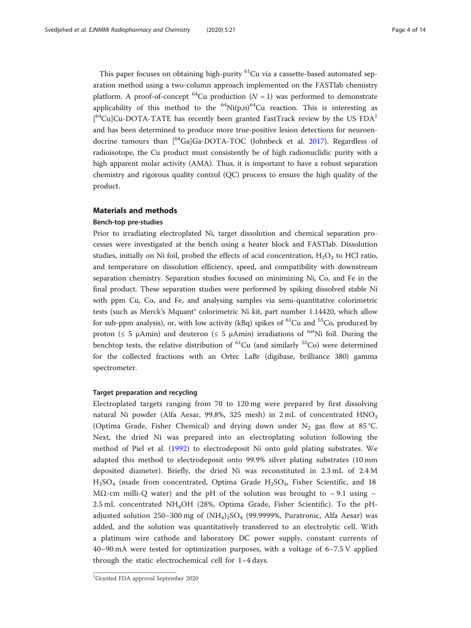This paper focuses on obtaining high-purity <sup>61</sup>Cu via a cassette-based automated separation method using a two-column approach implemented on the FASTlab chemistry platform. A proof-of-concept <sup>64</sup>Cu production ( $N = 1$ ) was performed to demonstrate applicability of this method to the  ${}^{64}$ Ni(p,n) ${}^{64}$ Cu reaction. This is interesting as  $[$ <sup>64</sup>Cu]Cu-DOTA-TATE has recently been granted FastTrack review by the US FDA<sup>1</sup> and has been determined to produce more true-positive lesion detections for neuroendocrine tumours than  $\int_{0}^{68}Ga|Ga-DOTA-TOC$  (Johnbeck et al. [2017](#page-13-0)). Regardless of radioisotope, the Cu product must consistently be of high radionuclidic purity with a high apparent molar activity (AMA). Thus, it is important to have a robust separation chemistry and rigorous quality control (QC) process to ensure the high quality of the product.

# Materials and methods

# Bench-top pre-studies

Prior to irradiating electroplated Ni, target dissolution and chemical separation processes were investigated at the bench using a heater block and FASTlab. Dissolution studies, initially on Ni foil, probed the effects of acid concentration,  $H_2O_2$  to HCl ratio, and temperature on dissolution efficiency, speed, and compatibility with downstream separation chemistry. Separation studies focused on minimizing Ni, Co, and Fe in the final product. These separation studies were performed by spiking dissolved stable Ni with ppm Cu, Co, and Fe, and analysing samples via semi-quantitative colorimetric tests (such as Merck's Mquant® colorimetric Ni kit, part number 1.14420, which allow for sub-ppm analysis), or, with low activity (kBq) spikes of <sup>61</sup>Cu and <sup>55</sup>Co, produced by proton ( $\leq 5$  μAmin) and deuteron ( $\leq 5$  μAmin) irradiations of <sup>nat</sup>Ni foil. During the benchtop tests, the relative distribution of  ${}^{61}Cu$  (and similarly  ${}^{55}Co$ ) were determined for the collected fractions with an Ortec LaBr (digibase, brilliance 380) gamma spectrometer.

# Target preparation and recycling

Electroplated targets ranging from 70 to 120 mg were prepared by first dissolving natural Ni powder (Alfa Aesar, 99.8%, 325 mesh) in 2 mL of concentrated HNO3 (Optima Grade, Fisher Chemical) and drying down under  $N_2$  gas flow at 85 °C. Next, the dried Ni was prepared into an electroplating solution following the method of Piel et al. ([1992\)](#page-13-0) to electrodeposit Ni onto gold plating substrates. We adapted this method to electrodeposit onto 99.9% silver plating substrates (10 mm deposited diameter). Briefly, the dried Ni was reconstituted in 2.3 mL of 2.4 M H2SO4 (made from concentrated, Optima Grade H2SO4, Fisher Scientific, and 18 MΩ-cm milli-Q water) and the pH of the solution was brought to ~9.1 using ~ 2.5 mL concentrated NH4OH (28%, Optima Grade, Fisher Scientific). To the pHadjusted solution 250–300 mg of  $(NH<sub>4</sub>)<sub>2</sub>SO<sub>4</sub>$  (99.9999%, Puratronic, Alfa Aesar) was added, and the solution was quantitatively transferred to an electrolytic cell. With a platinum wire cathode and laboratory DC power supply, constant currents of 40–90 mA were tested for optimization purposes, with a voltage of 6–7.5 V applied through the static electrochemical cell for 1–4 days.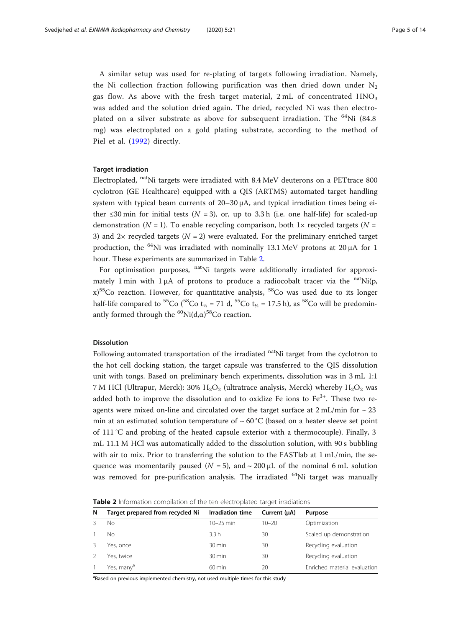A similar setup was used for re-plating of targets following irradiation. Namely, the Ni collection fraction following purification was then dried down under  $N_2$ gas flow. As above with the fresh target material,  $2 \text{ mL}$  of concentrated  $HNO<sub>3</sub>$ was added and the solution dried again. The dried, recycled Ni was then electroplated on a silver substrate as above for subsequent irradiation. The  $^{64}$ Ni (84.8) mg) was electroplated on a gold plating substrate, according to the method of Piel et al. ([1992\)](#page-13-0) directly.

### Target irradiation

Electroplated, natNi targets were irradiated with 8.4 MeV deuterons on a PETtrace 800 cyclotron (GE Healthcare) equipped with a QIS (ARTMS) automated target handling system with typical beam currents of  $20-30 \mu A$ , and typical irradiation times being either  $\leq 30$  min for initial tests ( $N = 3$ ), or, up to 3.3 h (i.e. one half-life) for scaled-up demonstration ( $N = 1$ ). To enable recycling comparison, both 1 $\times$  recycled targets ( $N =$ 3) and  $2 \times$  recycled targets ( $N = 2$ ) were evaluated. For the preliminary enriched target production, the <sup>64</sup>Ni was irradiated with nominally 13.1 MeV protons at 20  $\mu$ A for 1 hour. These experiments are summarized in Table 2.

For optimisation purposes, <sup>nat</sup>Ni targets were additionally irradiated for approximately 1 min with 1  $\mu$ A of protons to produce a radiocobalt tracer via the <sup>nat</sup>Ni(p,  $x$ <sup>55</sup>Co reaction. However, for quantitative analysis, <sup>58</sup>Co was used due to its longer half-life compared to <sup>55</sup>Co (<sup>58</sup>Co t<sub>½</sub> = 71 d, <sup>55</sup>Co t<sub>½</sub> = 17.5 h), as <sup>58</sup>Co will be predominantly formed through the  $^{60}\text{Ni}(\text{d},\alpha)^{58}\text{Co}$  reaction.

#### Dissolution

Following automated transportation of the irradiated  $\mu$ <sup>at</sup>Ni target from the cyclotron to the hot cell docking station, the target capsule was transferred to the QIS dissolution unit with tongs. Based on preliminary bench experiments, dissolution was in 3 mL 1:1 7 M HCl (Ultrapur, Merck): 30%  $H_2O_2$  (ultratrace analysis, Merck) whereby  $H_2O_2$  was added both to improve the dissolution and to oxidize Fe ions to  $Fe<sup>3+</sup>$ . These two reagents were mixed on-line and circulated over the target surface at  $2 \text{ mL/min}$  for  $\sim 23$ min at an estimated solution temperature of  $\sim 60\degree C$  (based on a heater sleeve set point of 111 °C and probing of the heated capsule exterior with a thermocouple). Finally, 3 mL 11.1 M HCl was automatically added to the dissolution solution, with 90 s bubbling with air to mix. Prior to transferring the solution to the FASTlab at 1 mL/min, the sequence was momentarily paused ( $N = 5$ ), and  $\sim 200 \mu L$  of the nominal 6 mL solution was removed for pre-purification analysis. The irradiated <sup>64</sup>Ni target was manually

| <b>Table 2</b> Information compilation of the ten electroplated target irradiations |  |  |
|-------------------------------------------------------------------------------------|--|--|
|                                                                                     |  |  |

| N | Target prepared from recycled Ni | <b>Irradiation time</b> | Current (µA) | Purpose                      |
|---|----------------------------------|-------------------------|--------------|------------------------------|
|   | Nο                               | $10 - 25$ min           | $10 - 20$    | Optimization                 |
|   | Nο                               | 3.3h                    | 30           | Scaled up demonstration      |
|   | Yes, once                        | $30 \,\mathrm{min}$     | 30           | Recycling evaluation         |
|   | Yes, twice                       | $30 \,\mathrm{min}$     | 30           | Recycling evaluation         |
|   | Yes, many <sup>a</sup>           | $60 \,\mathrm{min}$     | 20           | Enriched material evaluation |

<sup>a</sup>Based on previous implemented chemistry, not used multiple times for this study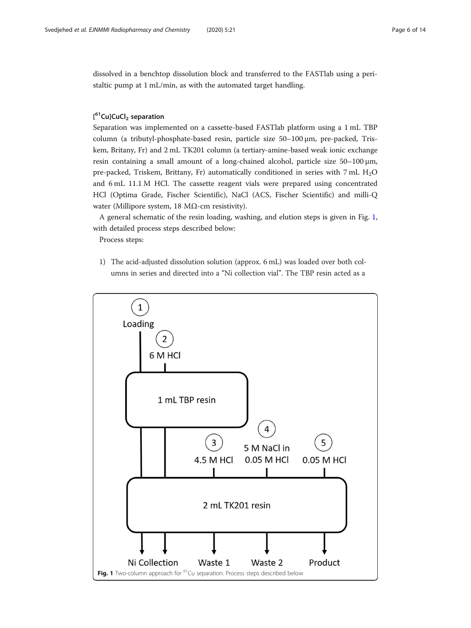dissolved in a benchtop dissolution block and transferred to the FASTlab using a peristaltic pump at 1 mL/min, as with the automated target handling.

# [<sup>61</sup>Cu]CuCl<sub>2</sub> separation

Separation was implemented on a cassette-based FASTlab platform using a 1 mL TBP column (a tributyl-phosphate-based resin, particle size 50–100 μm, pre-packed, Triskem, Britany, Fr) and 2 mL TK201 column (a tertiary-amine-based weak ionic exchange resin containing a small amount of a long-chained alcohol, particle size 50–100 μm, pre-packed, Triskem, Brittany, Fr) automatically conditioned in series with 7 mL H2O and 6 mL 11.1 M HCl. The cassette reagent vials were prepared using concentrated HCl (Optima Grade, Fischer Scientific), NaCl (ACS, Fischer Scientific) and milli-Q water (Millipore system, 18 MΩ-cm resistivity).

A general schematic of the resin loading, washing, and elution steps is given in Fig. 1, with detailed process steps described below:

Process steps:

1) The acid-adjusted dissolution solution (approx. 6 mL) was loaded over both columns in series and directed into a "Ni collection vial". The TBP resin acted as a

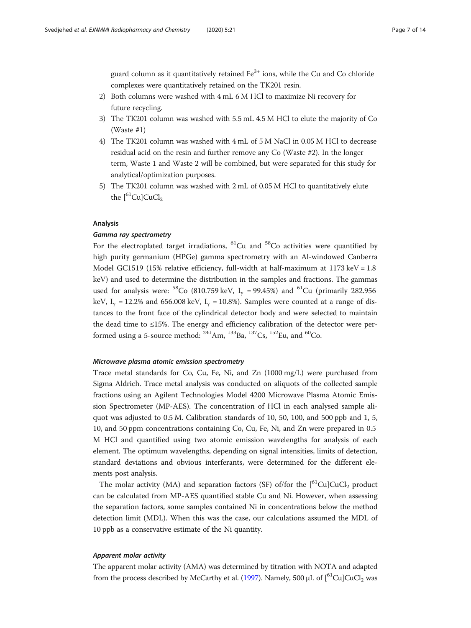guard column as it quantitatively retained  $Fe<sup>3+</sup>$  ions, while the Cu and Co chloride complexes were quantitatively retained on the TK201 resin.

- 2) Both columns were washed with 4 mL 6 M HCl to maximize Ni recovery for future recycling.
- 3) The TK201 column was washed with 5.5 mL 4.5 M HCl to elute the majority of Co (Waste #1)
- 4) The TK201 column was washed with 4 mL of 5 M NaCl in 0.05 M HCl to decrease residual acid on the resin and further remove any Co (Waste #2). In the longer term, Waste 1 and Waste 2 will be combined, but were separated for this study for analytical/optimization purposes.
- 5) The TK201 column was washed with 2 mL of 0.05 M HCl to quantitatively elute the  $[$ <sup>61</sup>CulCuCl<sub>2</sub>

# Analysis

# Gamma ray spectrometry

For the electroplated target irradiations,  ${}^{61}$ Cu and  ${}^{58}$ Co activities were quantified by high purity germanium (HPGe) gamma spectrometry with an Al-windowed Canberra Model GC1519 (15% relative efficiency, full-width at half-maximum at  $1173 \text{ keV} = 1.8$ keV) and used to determine the distribution in the samples and fractions. The gammas used for analysis were:  ${}^{58}Co$  (810.759 keV, I<sub>y</sub> = 99.45%) and  ${}^{61}Cu$  (primarily 282.956 keV,  $I_v = 12.2\%$  and 656.008 keV,  $I_v = 10.8\%$ ). Samples were counted at a range of distances to the front face of the cylindrical detector body and were selected to maintain the dead time to  $\leq$ 15%. The energy and efficiency calibration of the detector were performed using a 5-source method:  $^{241}$ Am,  $^{133}$ Ba,  $^{137}$ Cs,  $^{152}$ Eu, and  $^{60}$ Co.

#### Microwave plasma atomic emission spectrometry

Trace metal standards for Co, Cu, Fe, Ni, and Zn (1000 mg/L) were purchased from Sigma Aldrich. Trace metal analysis was conducted on aliquots of the collected sample fractions using an Agilent Technologies Model 4200 Microwave Plasma Atomic Emission Spectrometer (MP-AES). The concentration of HCl in each analysed sample aliquot was adjusted to 0.5 M. Calibration standards of 10, 50, 100, and 500 ppb and 1, 5, 10, and 50 ppm concentrations containing Co, Cu, Fe, Ni, and Zn were prepared in 0.5 M HCl and quantified using two atomic emission wavelengths for analysis of each element. The optimum wavelengths, depending on signal intensities, limits of detection, standard deviations and obvious interferants, were determined for the different elements post analysis.

The molar activity (MA) and separation factors (SF) of/for the  $\int_{0}^{61}Cu|CuCl_{2}$  product can be calculated from MP-AES quantified stable Cu and Ni. However, when assessing the separation factors, some samples contained Ni in concentrations below the method detection limit (MDL). When this was the case, our calculations assumed the MDL of 10 ppb as a conservative estimate of the Ni quantity.

# Apparent molar activity

The apparent molar activity (AMA) was determined by titration with NOTA and adapted from the process described by McCarthy et al. ([1997](#page-13-0)). Namely, 500  $\mu$ L of  $[{}^{61}Cu]CuCl<sub>2</sub>$  was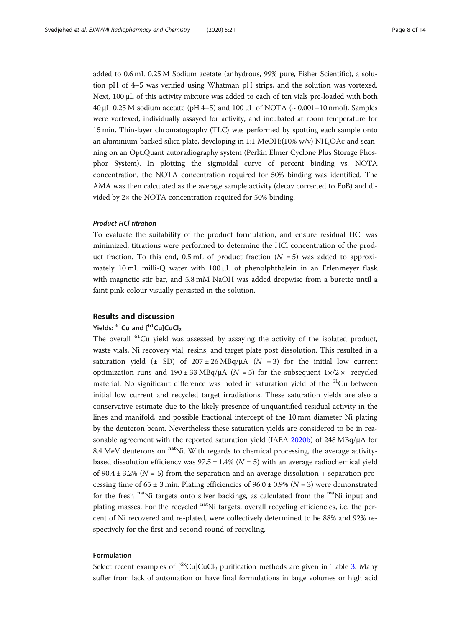added to 0.6 mL 0.25 M Sodium acetate (anhydrous, 99% pure, Fisher Scientific), a solution pH of 4–5 was verified using Whatman pH strips, and the solution was vortexed. Next, 100 μL of this activity mixture was added to each of ten vials pre-loaded with both 40 μL 0.25 M sodium acetate (pH 4–5) and 100 μL of NOTA ( $\sim$  0.001–10 nmol). Samples were vortexed, individually assayed for activity, and incubated at room temperature for 15 min. Thin-layer chromatography (TLC) was performed by spotting each sample onto an aluminium-backed silica plate, developing in 1:1 MeOH: $(10\% w/v)$  NH<sub>4</sub>OAc and scanning on an OptiQuant autoradiography system (Perkin Elmer Cyclone Plus Storage Phosphor System). In plotting the sigmoidal curve of percent binding vs. NOTA concentration, the NOTA concentration required for 50% binding was identified. The AMA was then calculated as the average sample activity (decay corrected to EoB) and divided by  $2 \times$  the NOTA concentration required for 50% binding.

#### Product HCl titration

To evaluate the suitability of the product formulation, and ensure residual HCl was minimized, titrations were performed to determine the HCl concentration of the product fraction. To this end, 0.5 mL of product fraction  $(N = 5)$  was added to approximately 10 mL milli-Q water with 100 μL of phenolphthalein in an Erlenmeyer flask with magnetic stir bar, and 5.8 mM NaOH was added dropwise from a burette until a faint pink colour visually persisted in the solution.

# Results and discussion

# Yields: <sup>61</sup>Cu and [<sup>61</sup>Cu]CuCl<sub>2</sub>

The overall <sup>61</sup>Cu yield was assessed by assaying the activity of the isolated product, waste vials, Ni recovery vial, resins, and target plate post dissolution. This resulted in a saturation yield ( $\pm$  SD) of 207  $\pm$  26 MBq/ $\mu$ A ( $N = 3$ ) for the initial low current optimization runs and 190 ± 33 MBq/ $\mu$ A ( $N = 5$ ) for the subsequent 1×/2 × −recycled material. No significant difference was noted in saturation yield of the  ${}^{61}$ Cu between initial low current and recycled target irradiations. These saturation yields are also a conservative estimate due to the likely presence of unquantified residual activity in the lines and manifold, and possible fractional intercept of the 10 mm diameter Ni plating by the deuteron beam. Nevertheless these saturation yields are considered to be in rea-sonable agreement with the reported saturation yield (IAEA [2020b\)](#page-12-0) of 248 MBq/ $\mu$ A for 8.4 MeV deuterons on  $\mathrm{^{nat}Ni}$ . With regards to chemical processing, the average activitybased dissolution efficiency was  $97.5 \pm 1.4\%$  ( $N = 5$ ) with an average radiochemical yield of 90.4  $\pm$  3.2% (N = 5) from the separation and an average dissolution + separation processing time of  $65 \pm 3$  min. Plating efficiencies of  $96.0 \pm 0.9\%$  ( $N = 3$ ) were demonstrated for the fresh  $\mathrm{nat}$ Ni targets onto silver backings, as calculated from the  $\mathrm{nat}$ Ni input and plating masses. For the recycled <sup>nat</sup>Ni targets, overall recycling efficiencies, i.e. the percent of Ni recovered and re-plated, were collectively determined to be 88% and 92% respectively for the first and second round of recycling.

# Formulation

Select recent examples of  $\int_{0}^{6x}Cu|CuCl_{2}$  purification methods are given in Table [3.](#page-8-0) Many suffer from lack of automation or have final formulations in large volumes or high acid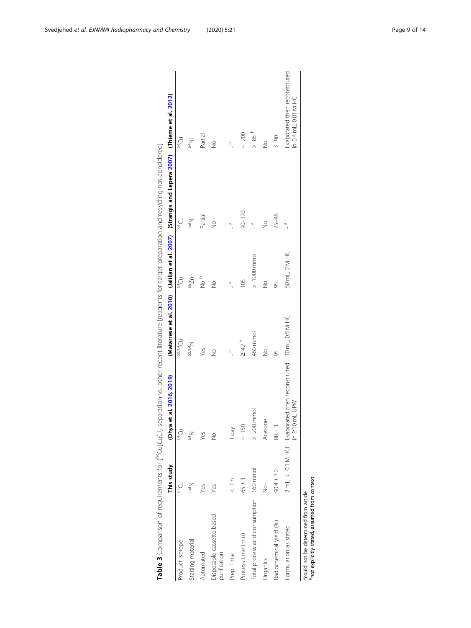|                                                                                                   | This study        | (Ohya et al. 2016, 2019)                                                                |                                                 |                  | (Matarrese et al. 2010) (Jalilian et al. 2007) (Strangis and Lepera 2007) (Thieme et al. 2012) |                                                        |
|---------------------------------------------------------------------------------------------------|-------------------|-----------------------------------------------------------------------------------------|-------------------------------------------------|------------------|------------------------------------------------------------------------------------------------|--------------------------------------------------------|
| Product isotope                                                                                   | $61$ Cu           | e<br>Cu                                                                                 | $\frac{1}{\sqrt{2}}$                            | 64 <sub>Cu</sub> | ο<br>Θ                                                                                         | $\tilde{C}_{\mu}$                                      |
| Starting material                                                                                 | nat <sub>Ni</sub> | V<br>V                                                                                  | $60/64$ Ni                                      | $n_{Zg}$         | iN <sub>ieu</sub>                                                                              | $\frac{64}{10}$                                        |
| Automated                                                                                         | Yes               | Yes                                                                                     | Yes                                             | a<br>S           | Partial                                                                                        | Partial                                                |
| Disposable cassette-based<br>purification                                                         | Yes               | $\frac{9}{2}$                                                                           | $\frac{1}{2}$                                   | $\frac{1}{2}$    | $\frac{1}{2}$                                                                                  | $\frac{1}{2}$                                          |
| Prep. Time                                                                                        | $\frac{1}{x}$     | Yep I                                                                                   | $\begin{array}{c}\n\circ \\ \circ\n\end{array}$ | e<br>I           | $\sigma$                                                                                       | m                                                      |
| Process time (min)                                                                                | $65 \pm 3$        | $\sim 150$                                                                              | $\geq 42$                                       | 105              | $90 - 120$                                                                                     | 200<br>$\overline{\mathcal{E}}$                        |
| Total process acid consumption 160 mmol                                                           |                   | $> 200$ mmol                                                                            | 460 mmol                                        | $>1000$ mmol     |                                                                                                | > 85                                                   |
| Organics                                                                                          | $\geq$            | Acetone                                                                                 | $\frac{1}{2}$                                   | $\frac{1}{2}$    | $\frac{9}{2}$                                                                                  | $\frac{9}{2}$                                          |
| Radiochemical yield (%)                                                                           | $90.4 \pm 3.2$    | $88 \pm 3$                                                                              | 95                                              | 56               | $25 - 48$                                                                                      | $\frac{8}{1}$                                          |
| Formulation as stated                                                                             |                   | 2 mL, < 0.1 M HCl Evaporated then reconstituted 10 mL, 0.5 M HCl<br>in $\geq$ 10 mL UPW |                                                 | 50 mL, 2 M HCI   | $\frac{1}{2}$                                                                                  | Evaporated then reconstituted<br>in 0.4 mL, 0.01 M HCl |
| <sup>p</sup> not explicitly stated, assumed from context<br>acould not be determined from article |                   |                                                                                         |                                                 |                  |                                                                                                |                                                        |

<span id="page-8-0"></span>Svedjehed et al. EJNMMI Radiopharmacy and Chemistry (2020) 5:21 example 3 and 5:21 Page 9 of 14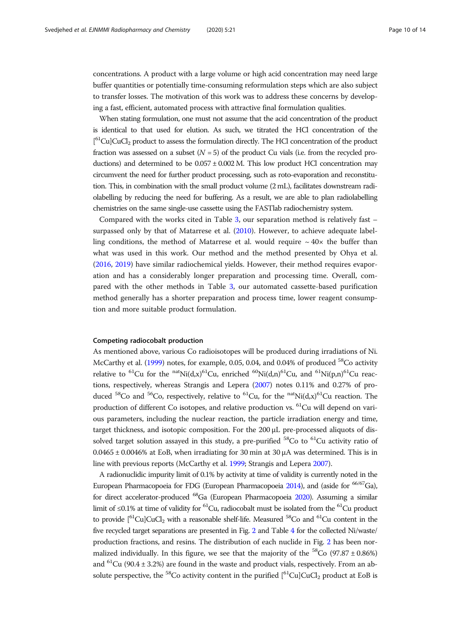concentrations. A product with a large volume or high acid concentration may need large buffer quantities or potentially time-consuming reformulation steps which are also subject to transfer losses. The motivation of this work was to address these concerns by developing a fast, efficient, automated process with attractive final formulation qualities.

When stating formulation, one must not assume that the acid concentration of the product is identical to that used for elution. As such, we titrated the HCl concentration of the [<sup>61</sup>Cu]CuCl<sub>2</sub> product to assess the formulation directly. The HCl concentration of the product fraction was assessed on a subset  $(N = 5)$  of the product Cu vials (i.e. from the recycled productions) and determined to be  $0.057 \pm 0.002$  M. This low product HCl concentration may circumvent the need for further product processing, such as roto-evaporation and reconstitution. This, in combination with the small product volume (2 mL), facilitates downstream radiolabelling by reducing the need for buffering. As a result, we are able to plan radiolabelling chemistries on the same single-use cassette using the FASTlab radiochemistry system.

Compared with the works cited in Table [3](#page-8-0), our separation method is relatively fast – surpassed only by that of Matarrese et al. [\(2010\)](#page-13-0). However, to achieve adequate labelling conditions, the method of Matarrese et al. would require  $\sim 40\times$  the buffer than what was used in this work. Our method and the method presented by Ohya et al. ([2016](#page-13-0), [2019](#page-13-0)) have similar radiochemical yields. However, their method requires evaporation and has a considerably longer preparation and processing time. Overall, compared with the other methods in Table [3](#page-8-0), our automated cassette-based purification method generally has a shorter preparation and process time, lower reagent consumption and more suitable product formulation.

#### Competing radiocobalt production

As mentioned above, various Co radioisotopes will be produced during irradiations of Ni. McCarthy et al. ([1999](#page-13-0)) notes, for example, 0.05, 0.04, and 0.04% of produced <sup>58</sup>Co activity relative to <sup>61</sup>Cu for the <sup>nat</sup>Ni(d,x)<sup>61</sup>Cu, enriched <sup>60</sup>Ni(d,n)<sup>61</sup>Cu, and <sup>61</sup>Ni(p,n)<sup>61</sup>Cu reactions, respectively, whereas Strangis and Lepera [\(2007](#page-13-0)) notes 0.11% and 0.27% of produced <sup>58</sup>Co and <sup>56</sup>Co, respectively, relative to <sup>61</sup>Cu, for the <sup>nat</sup>Ni(d,x)<sup>61</sup>Cu reaction. The production of different Co isotopes, and relative production vs. 61Cu will depend on various parameters, including the nuclear reaction, the particle irradiation energy and time, target thickness, and isotopic composition. For the 200 μL pre-processed aliquots of dissolved target solution assayed in this study, a pre-purified  ${}^{58}$ Co to  ${}^{61}$ Cu activity ratio of  $0.0465 \pm 0.0046\%$  at EoB, when irradiating for 30 min at 30  $\mu$ A was determined. This is in line with previous reports (McCarthy et al. [1999](#page-13-0); Strangis and Lepera [2007](#page-13-0)).

A radionuclidic impurity limit of 0.1% by activity at time of validity is currently noted in the European Pharmacopoeia for FDG (European Pharmacopoeia [2014](#page-12-0)), and (aside for <sup>66/67</sup>Ga), for direct accelerator-produced 68Ga (European Pharmacopoeia [2020\)](#page-12-0). Assuming a similar limit of ≤0.1% at time of validity for <sup>61</sup>Cu, radiocobalt must be isolated from the <sup>61</sup>Cu product to provide  $\int_{0}^{61}$ Cu $\int_{0}^{61}$ CuCl<sub>2</sub> with a reasonable shelf-life. Measured <sup>58</sup>Co and <sup>61</sup>Cu content in the five recycled target separations are presented in Fig. [2](#page-10-0) and Table [4](#page-10-0) for the collected Ni/waste/ production fractions, and resins. The distribution of each nuclide in Fig. [2](#page-10-0) has been normalized individually. In this figure, we see that the majority of the  ${}^{58}Co$  (97.87  $\pm$  0.86%) and <sup>61</sup>Cu (90.4  $\pm$  3.2%) are found in the waste and product vials, respectively. From an absolute perspective, the <sup>58</sup>Co activity content in the purified  $\binom{61}{1}\text{Cu}$ CuCl<sub>2</sub> product at EoB is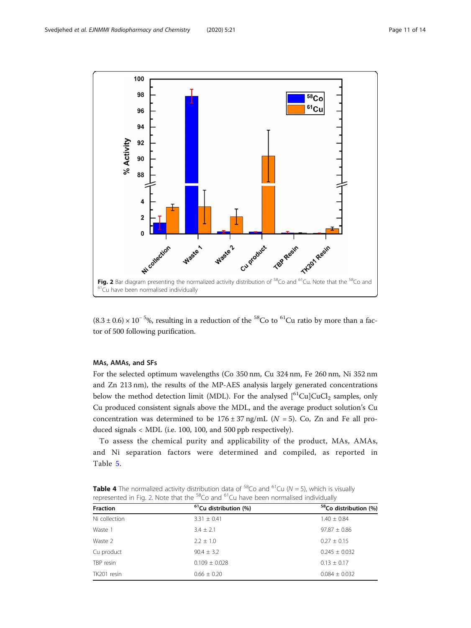<span id="page-10-0"></span>

 $(8.3 \pm 0.6) \times 10^{-5}$ %, resulting in a reduction of the <sup>58</sup>Co to <sup>61</sup>Cu ratio by more than a factor of 500 following purification.

# MAs, AMAs, and SFs

For the selected optimum wavelengths (Co 350 nm, Cu 324 nm, Fe 260 nm, Ni 352 nm and Zn 213 nm), the results of the MP-AES analysis largely generated concentrations below the method detection limit (MDL). For the analysed  $[{}^{61}Cu]CuCl<sub>2</sub>$  samples, only Cu produced consistent signals above the MDL, and the average product solution's Cu concentration was determined to be  $176 \pm 37$  ng/mL ( $N = 5$ ). Co, Zn and Fe all produced signals < MDL (i.e. 100, 100, and 500 ppb respectively).

To assess the chemical purity and applicability of the product, MAs, AMAs, and Ni separation factors were determined and compiled, as reported in Table [5](#page-11-0).

**Table 4** The normalized activity distribution data of  ${}^{58}$ Co and  ${}^{61}$ Cu (N = 5), which is visually represented in Fig. 2. Note that the 58Co and 61Cu have been normalised individually

| <b>Fraction</b> | <sup>61</sup> Cu distribution (%) | <sup>58</sup> Co distribution (%) |
|-----------------|-----------------------------------|-----------------------------------|
| Ni collection   | $3.31 \pm 0.41$                   | $1.40 \pm 0.84$                   |
| Waste 1         | $3.4 \pm 2.1$                     | $97.87 \pm 0.86$                  |
| Waste 2         | $2.2 \pm 1.0$                     | $0.27 \pm 0.15$                   |
| Cu product      | $90.4 \pm 3.2$                    | $0.245 \pm 0.032$                 |
| TBP resin       | $0.109 \pm 0.028$                 | $0.13 \pm 0.17$                   |
| TK201 resin     | $0.66 \pm 0.20$                   | $0.084 \pm 0.032$                 |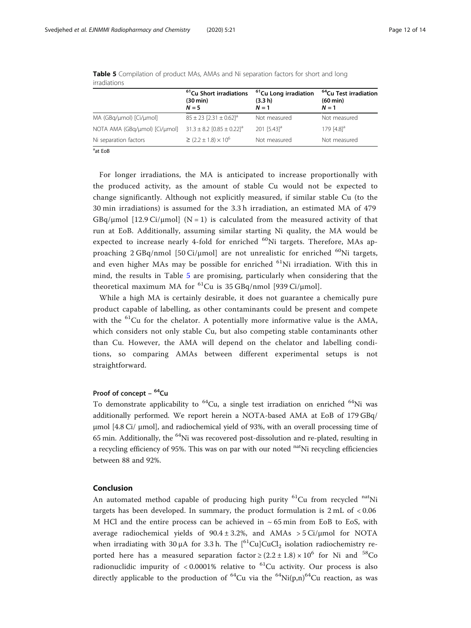|                               | <sup>61</sup> Cu Short irradiations<br>$(30 \text{ min})$<br>$N = 5$ | <sup>61</sup> Cu Long irradiation<br>(3.3 h)<br>$N = 1$ | <sup>64</sup> Cu Test irradiation<br>$(60 \text{ min})$<br>$N=1$ |
|-------------------------------|----------------------------------------------------------------------|---------------------------------------------------------|------------------------------------------------------------------|
| MA (GBq/µmol) [Ci/µmol]       | $85 \pm 23$ [2.31 $\pm$ 0.62] <sup>a</sup>                           | Not measured                                            | Not measured                                                     |
| NOTA AMA (GBq/umol) [Ci/umol] | $31.3 \pm 8.2$ [0.85 $\pm$ 0.22] <sup>a</sup>                        | 201 $[5.43]$ <sup>a</sup>                               | 179 $[4.8]$ <sup>a</sup>                                         |
| Ni separation factors         | $\geq$ (2.2 ± 1.8) $\times$ 10 <sup>6</sup>                          | Not measured                                            | Not measured                                                     |
|                               |                                                                      |                                                         |                                                                  |

<span id="page-11-0"></span>Table 5 Compilation of product MAs, AMAs and Ni separation factors for short and long irradiations

<sup>a</sup>at EoB

For longer irradiations, the MA is anticipated to increase proportionally with the produced activity, as the amount of stable Cu would not be expected to change significantly. Although not explicitly measured, if similar stable Cu (to the 30 min irradiations) is assumed for the 3.3 h irradiation, an estimated MA of 479  $GBq/\mu$ mol [12.9 Ci/ $\mu$ mol] (N = 1) is calculated from the measured activity of that run at EoB. Additionally, assuming similar starting Ni quality, the MA would be expected to increase nearly 4-fold for enriched  ${}^{60}$ Ni targets. Therefore, MAs approaching  $2 \text{GBq/nmol}$  [50 Ci/µmol] are not unrealistic for enriched <sup>60</sup>Ni targets, and even higher MAs may be possible for enriched  $^{61}$ Ni irradiation. With this in mind, the results in Table 5 are promising, particularly when considering that the theoretical maximum MA for  ${}^{61}$ Cu is 35 GBq/nmol [939 Ci/µmol].

While a high MA is certainly desirable, it does not guarantee a chemically pure product capable of labelling, as other contaminants could be present and compete with the  ${}^{61}$ Cu for the chelator. A potentially more informative value is the AMA, which considers not only stable Cu, but also competing stable contaminants other than Cu. However, the AMA will depend on the chelator and labelling conditions, so comparing AMAs between different experimental setups is not straightforward.

# Proof of concept  $64$ Cu

To demonstrate applicability to  $^{64}$ Cu, a single test irradiation on enriched  $^{64}$ Ni was additionally performed. We report herein a NOTA-based AMA at EoB of 179 GBq/ μmol [4.8 Ci/ μmol], and radiochemical yield of 93%, with an overall processing time of 65 min. Additionally, the  $^{64}$ Ni was recovered post-dissolution and re-plated, resulting in a recycling efficiency of 95%. This was on par with our noted <sup>nat</sup>Ni recycling efficiencies between 88 and 92%.

#### Conclusion

An automated method capable of producing high purity <sup>61</sup>Cu from recycled <sup>nat</sup>Ni targets has been developed. In summary, the product formulation is 2 mL of < 0.06 M HCl and the entire process can be achieved in  $\sim$  65 min from EoB to EoS, with average radiochemical yields of  $90.4 \pm 3.2\%$ , and AMAs > 5 Ci/µmol for NOTA when irradiating with 30  $\mu$ A for 3.3 h. The [<sup>61</sup>Cu]CuCl<sub>2</sub> isolation radiochemistry reported here has a measured separation factor  $\geq$  (2.2 ± 1.8) × 10<sup>6</sup> for Ni and <sup>58</sup>Co radionuclidic impurity of  $< 0.0001\%$  relative to <sup>61</sup>Cu activity. Our process is also directly applicable to the production of  ${}^{64}$ Cu via the  ${}^{64}$ Ni(p,n) ${}^{64}$ Cu reaction, as was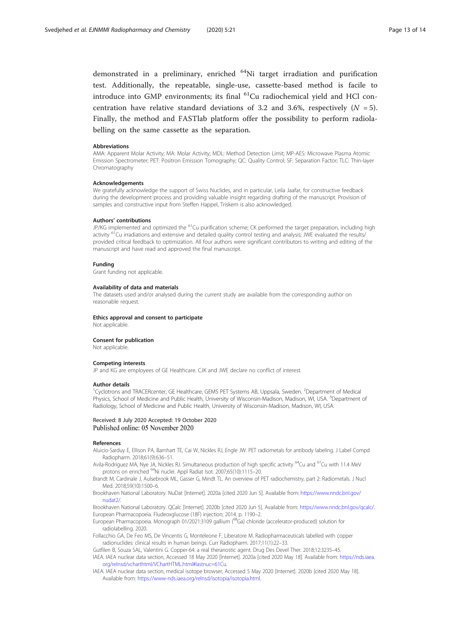<span id="page-12-0"></span>demonstrated in a preliminary, enriched 64Ni target irradiation and purification test. Additionally, the repeatable, single-use, cassette-based method is facile to introduce into GMP environments; its final  ${}^{61}$ Cu radiochemical yield and HCl concentration have relative standard deviations of 3.2 and 3.6%, respectively  $(N = 5)$ . Finally, the method and FASTlab platform offer the possibility to perform radiolabelling on the same cassette as the separation.

#### Abbreviations

AMA: Apparent Molar Activity; MA: Molar Activity; MDL: Method Detection Limit; MP-AES: Microwave Plasma Atomic Emission Spectrometer; PET: Positron Emission Tomography; QC: Quality Control; SF: Separation Factor; TLC: Thin-layer Chromatography

#### Acknowledgements

We gratefully acknowledge the support of Swiss Nuclides, and in particular, Leila Jaafar, for constructive feedback during the development process and providing valuable insight regarding drafting of the manuscript. Provision of samples and constructive input from Steffen Happel, Triskem is also acknowledged.

#### Authors' contributions

JP/KG implemented and optimized the <sup>61</sup>Cu purification scheme; CK performed the target preparation, including high activity <sup>61</sup>Cu irradiations and extensive and detailed quality control testing and analysis; JWE evaluated the results/ provided critical feedback to optimization. All four authors were significant contributors to writing and editing of the manuscript and have read and approved the final manuscript.

#### Funding

Grant funding not applicable.

#### Availability of data and materials

The datasets used and/or analysed during the current study are available from the corresponding author on reasonable request.

#### Ethics approval and consent to participate

Not applicable.

#### Consent for publication

Not applicable.

#### Competing interests

JP and KG are employees of GE Healthcare. CJK and JWE declare no conflict of interest.

#### Author details

<sup>1</sup>Cyclotrons and TRACERcenter, GE Healthcare, GEMS PET Systems AB, Uppsala, Sweden. <sup>2</sup>Department of Medical Physics, School of Medicine and Public Health, University of Wisconsin-Madison, Madison, WI, USA. <sup>3</sup>Department of Radiology, School of Medicine and Public Health, University of Wisconsin-Madison, Madison, WI, USA.

# Received: 8 July 2020 Accepted: 19 October 2020

#### References

Aluicio-Sarduy E, Ellison PA, Barnhart TE, Cai W, Nickles RJ, Engle JW. PET radiometals for antibody labeling. J Label Compd Radiopharm. 2018;61(9):636–51.

Avila-Rodriguez MA, Nye JA, Nickles RJ. Simultaneous production of high specific activity <sup>64</sup>Cu and <sup>61</sup>Cu with 11.4 MeV protons on enriched 64Ni nuclei. Appl Radiat Isot. 2007;65(10):1115–20.

Brandt M, Cardinale J, Aulsebrook ML, Gasser G, Mindt TL. An overview of PET radiochemistry, part 2: Radiometals. J Nucl Med. 2018;59(10):1500–6.

Brookhaven National Laboratory. NuDat [Internet]. 2020a [cited 2020 Jun 5]. Available from: [https://www.nndc.bnl.gov/](https://www.nndc.bnl.gov/nudat2/) [nudat2/](https://www.nndc.bnl.gov/nudat2/).

Brookhaven National Laboratory. QCalc [Internet]. 2020b [cited 2020 Jun 5]. Available from: [https://www.nndc.bnl.gov/qcalc/.](https://www.nndc.bnl.gov/qcalc/) European Pharmacopoeia. Fludeoxglucose (18F) injection; 2014. p. 1190–2.

European Pharmacopoeia. Monograph 01/2021:3109 gallium (<sup>68</sup>Ga) chloride (accelerator-produced) solution for radiolabelling. 2020.

Follacchio GA, De Feo MS, De Vincentis G, Monteleone F, Liberatore M. Radiopharmaceuticals labelled with copper radionuclides: clinical results in human beings. Curr Radiopharm. 2017;11(1):22–33.

Gutfilen B, Souza SAL, Valentini G. Copper-64: a real theranostic agent. Drug Des Devel Ther. 2018;12:3235–45. IAEA. IAEA nuclear data section, Accessed 18 May 2020 [Internet]. 2020a [cited 2020 May 18]. Available from: [https://nds.iaea.](https://nds.iaea.org/relnsd/vcharthtml/VChartHTML.html#lastnuc=61Cu) [org/relnsd/vcharthtml/VChartHTML.html#lastnuc=61Cu](https://nds.iaea.org/relnsd/vcharthtml/VChartHTML.html#lastnuc=61Cu).

IAEA. IAEA nuclear data section, medical isotope browser, Accessed 5 May 2020 [Internet]. 2020b [cited 2020 May 18]. Available from: <https://www-nds.iaea.org/relnsd/isotopia/isotopia.html>.